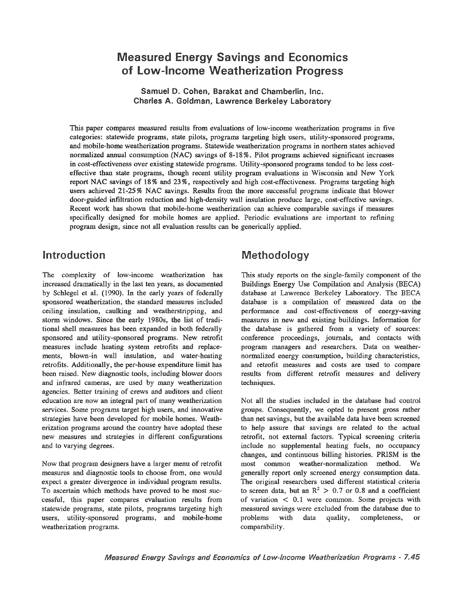# **Measured Energy Savings and Economics** of Low-Income Weatherization Pro

Samuel D. Cohen, Barakat and Chamberlin, Inc. Charles A. Goldman, Lawrence Berkeley Laboratory

This paper compares measured results from evaluations of low-income weatherization programs in five categories: statewide programs, state pilots, programs targeting high users, utility-sponsored programs, and mobile-home weatherization programs. Statewide weatherization programs in northern states achieved normalized annual consumption (NAC) savings of 8-18 %. Pilot programs achieved significant increases in cost-effectiveness over existing statewide programs. Utility-sponsored programs tended to be less costeffective than state programs, though recent utility program evaluations in Wisconsin and New York report NAC savings of 18% and 23%, respectively and high cost-effectiveness. Programs targeting high users achieved 21-25% NAC savings. Results from the more successful programs indicate that blower door-guided infiltration reduction and high-density wall insulation produce large, cost-effective savings. Recent work has shown that mobile-home weatherization can achieve comparable savings if measures specifically designed for mobile homes are applied. Periodic evaluations are important to refining program design, since not all evaluation results can be generically applied.

# Introduction

The complexity of low-income weatherization has increased dramatically in the last ten years, as documented by Schlegel et al. (1990). In the early years of federally sponsored weatherization, the standard measures included ceiling insulation, caulking and weatherstripping, and storm windows. Since the early 1980s, the list of traditional shell measures has been expanded in both federally sponsored and utility-sponsored programs. New retrofit measures include heating system retrofits and replacements, blown-in wall insulation, and water-heating retrofits. Additionally, the per-house expenditure limit has been raised. New diagnostic tools, including blower doors and infrared cameras, are used by many weatherization agencies. Better training of crews and auditors and client education are now an integral part of many weatherization services. Some programs target high users, and innovative strategies have been developed for mobile homes. Weatherization programs around the country have adopted these new measures and strategies in different configurations and to varying degrees.

Now that program designers have a larger menu of retrofit measures and diagnostic tools to choose from, one would expect a greater divergence in individual program results. To ascertain which methods have proved to be most successful, this paper compares evaluation results from statewide programs, state pilots, programs targeting high users, utility-sponsored programs, and mobile-home weatherization programs.

# Methodology

This study reports on the single-family component of the Buildings Energy Use Compilation and Analysis (BECA) database at Lawrence Berkeley Laboratory. The BECA database is a compilation of measured data on the perfonnance and cost-effectiveness of energy-saving measures in new and existing buildings. Information for the database is gathered from a variety of sources: conference proceedings, journals, and contacts with program managers and researchers. Data on weathernormalized energy consumption, building characteristics, and retrofit measures and costs are used to compare results from different retrofit measures and delivery techniques.

Not all the studies included in the database had control groups. Consequently, we opted to present gross rather than net savings, but the available data have been screened to help assure that savings are related to the actual retrofit, not external factors. Typical screening criteria include no supplemental heating fuels, no occupancy changes, and continuous billing histories. PRISM is the most common weather-normalization method. We generally report only screened energy consumption data. The original researchers used different statistical criteria to screen data, but an  $\mathbb{R}^2 > 0.7$  or 0.8 and a coefficient of variation  $\langle 0.1 \rangle$  were common. Some projects with measured savings were excluded from the database due to problems with data quality, completeness, or comparability.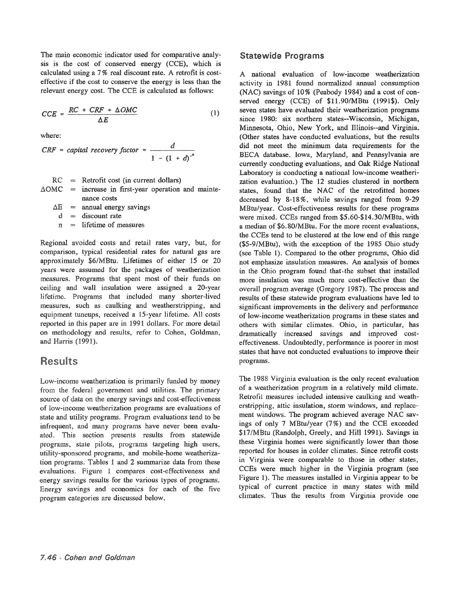The main economic indicator used for comparative analysis is the cost of conserved energy (CCE), which is calculated using a 7% real discount rate. A retrofit is costeffective if the cost to conserve the energy is less than the relevant energy cost. The CCE is calculated as follows:

$$
CCE = \frac{RC \cdot CRF + \Delta OMC}{\Delta E} \tag{1}
$$

where:

$$
CRF = capital recovery factor = \frac{d}{1 - (1 + d)^{-n}}
$$

 $=$  Retrofit cost (in current dollars) increase in first-year operation and maintenance costs RC  $\triangle$ OMC =

 $\Delta E$  = annual energy

 $=$  discount rate d

 $n =$  lifetime of measures

Regional avoided costs and retail rates vary, but, for comparison, typical residential rates for natural gas are approximately \$6/MBtu. Lifetimes of either 15 or 20 years were assumed for the packages of weatherization measures. Programs that spent most of their funds on ceiling and wall insulation were assigned a 20-year lifetime. Programs that included many shorter-lived measures, such as caulking and weatherstripping, and equipment tuneups, received a 15-year lifetime. All costs reported in this paper are in 1991 dollars. For more detail on methodology and results, refer to Cohen, Goldman, and Harris (1991).

# **Results**

Low-income weatherization is primarily funded by money from the federal government and utilities. The primary source of data on the energy savings and cost-effectiveness of low-income weatherization programs are evaluations of state and utility programs. Program evaluations tend to be infrequent, and many programs have never been evaluated. This section presents results from statewide programs, state pilots, programs targeting high users, utility-sponsored programs, and mobile-home weatherization programs. Tables 1 and 2 summarize data from these evaluations. Figure 1 compares cost-effectiveness and energy savings results for the various types of programs. Energy savings and economics for each of the five program categories are discussed below.

#### **Statewide Programs**

A national evaluation of low-income weatherization activity in 1981 found normalized annual consumption (NAC) savings of 10% (Peabody 1984) and a cost of conserved energy (CCE) of \$11.90/MBtu (1991\$). Only seven states have evaluated their weatherization programs since 1980: six northern states--Wisconsin, Michigan, Minnesota, Ohio, New York, and IHinois--and Virginia. (Other states have conducted evaluations, but the results did not meet the minimum data requirements for the BECA database. Iowa, Maryland, and Pennsylvania are currently conducting evaluations, and Oak Ridge National Laboratory is conducting a national low-income weatherization evaluation.) The 12 studies clustered in northern states, found that the NAC of the retrofitted homes decreased by 8-18%, while savings ranged from 9-29 MBtu/year. Cost-effectiveness results for these programs were mixed. CCEs ranged from \$5.60-\$14.30/MBtu, with a median of \$6.80/MBtu. For the more recent evaluations, the CCEs tend to be clustered at the low end of this range (\$5-9/MBtu), with the exception of the 1985 Ohio study (see Table 1). Compared to the other programs, Ohio did not emphasize insulation measures. An analysis of homes in the Ohio program found that the subset that installed more insulation was much more cost-effective than the overall program average (Gregory 1987). The process and results of these statewide program evaluations have led to significant improvements in the delivery and performance of low-income weatherization programs in these states and others with similar climates. Ohio, in particular, has dramatically increased savings and improved costeffectiveness. Undoubtedly, performance is poorer in most states that have not conducted evaluations to improve their programs.

The 1988 Virginia evaluation is the only recent evaluation of a weatherization program in a relatively mild climate. Retrofit measures included intensive caulking and weatherstripping, attic insulation, storm windows, and replacement windows. The program achieved average NAC savings of only 7 *MBtu/year* (7%) and the CCE exceeded \$17/MBtu (Randolph, Greely, and Hill 1991). Savings in these Virginia homes were significantly lower than those reported for houses in colder climates. Since retrofit costs in Virginia were comparable to those in other states, CCEs were much higher in the Virginia program (see Figure 1). The measures installed in Virginia appear to be typical of current practice in many states with mild climates. Thus the results from Virginia provide one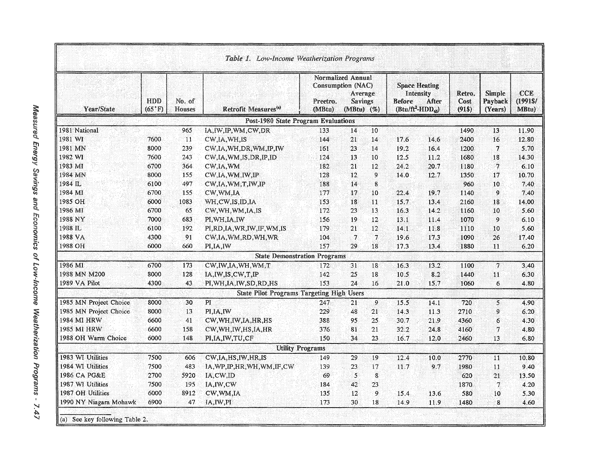| Year/State             | HDD<br>$(65^{\circ}F)$ | No. of<br>Houses | Retrofit Measures <sup>(a)</sup>                 | <b>Normalized Annual</b><br>Consumption (NAC)<br>Preetro.<br>(MBtu) | Average<br><b>Savings</b><br>(MBtu) (%) |    | <b>Space Heating</b><br>Intensity<br><b>Before</b><br>$(Btu/ft^2-HDD_{ex})$ | After | Retro.<br>Cost<br>(91\$) | <b>Simple</b><br>Payback<br>(Years) | CCE<br>(1991\$/<br>MBtu) |
|------------------------|------------------------|------------------|--------------------------------------------------|---------------------------------------------------------------------|-----------------------------------------|----|-----------------------------------------------------------------------------|-------|--------------------------|-------------------------------------|--------------------------|
|                        |                        |                  | <b>Post-1980 State Program Evaluations</b>       |                                                                     |                                         |    |                                                                             |       |                          |                                     |                          |
| 1981 National          |                        | 965              | IA, IW, IP, WM, CW, DR                           | 133                                                                 | 14                                      | 10 |                                                                             |       | 1490                     | 13                                  | 11.90                    |
| 1981 WI                | 7600                   | 11               | CW, IA, WH, IS                                   | 144                                                                 | 21                                      | 14 | 17.6                                                                        | 14.6  | 2400                     | 16                                  | 12.80                    |
| 1981 MN                | 8000                   | 239              | CW, IA, WH, DR, WM, IP, IW                       | 161                                                                 | 23                                      | 14 | 19.2                                                                        | 16.4  | 1200                     | 7                                   | 5.70                     |
| 1982 WI                | 7600                   | 243              | CW, IA, WM, IS, DR, IP, ID                       | 124                                                                 | 13                                      | 10 | 12.5                                                                        | 11.2  | 1680                     | 18                                  | 14.30                    |
| 1983 MI                | 6700                   | 364              | CW,IA, WM                                        | 182                                                                 | 21                                      | 12 | 24.2                                                                        | 20.7  | 1180                     | 7                                   | 6.10                     |
| 1984 MN                | 8000                   | 155              | CW.IA, WM, IW, IP                                | 128                                                                 | 12                                      | 9  | 14.0                                                                        | 12.7  | 1350                     | 17                                  | 10.70                    |
| 1984 IL                | 6100                   | 497              | CW, IA, WM, T, IW, IP                            | 188                                                                 | 14                                      | 8  |                                                                             |       | 960                      | 10                                  | 7.40                     |
| 1984 MI                | 6700                   | 155              | CW, WM, IA                                       | 177                                                                 | 17                                      | 10 | 22.4                                                                        | 19.7  | 1140                     | 9                                   | 7.40                     |
| 1985 OH                | 6000                   | 1083             | WH, CW, IS, ID, IA                               | 153                                                                 | 18                                      | 11 | 15.7                                                                        | 13.4  | 2160                     | 18                                  | 14.00                    |
| 1986 MI                | 6700                   | 65               | CW, WH, WM, IA, IS                               | 172                                                                 | 23                                      | 13 | 16.3                                                                        | 14.2  | 1160                     | 10                                  | 5.60                     |
| 1988 NY                | 7000                   | 683              | PI.WH.IA.IW                                      | 156                                                                 | 19                                      | 12 | 13.1                                                                        | 11.4  | 1070                     | $\mathbf{Q}$                        | 6.10                     |
| 1988 IL                | 6100                   | 192              | PI, RD, IA, WR, IW, IF, WM, IS                   | 179                                                                 | 21                                      | 12 | 14.1                                                                        | 11.8  | 1110                     | 10                                  | 5.60                     |
| 1988 VA                | 4300                   | 91               | CW, IA, WM, RD, WH, WR                           | 104                                                                 | $\tau$                                  |    | 19.6                                                                        | 17.3  | 1090                     | 26                                  | 17.40                    |
| 1988 OH                | 6000                   | 660              | PI, IA, IW                                       | 157                                                                 | 29                                      | 18 | 17.3                                                                        | 13.4  | 1880                     | 11                                  | 6,20                     |
|                        |                        |                  | <b>State Demonstration Programs</b>              |                                                                     |                                         |    |                                                                             |       |                          |                                     |                          |
| 1986 MI                | 6700                   | 173              | CW, IW, IA, WH, WM, T                            | 172                                                                 | 31                                      | 18 | 16.3                                                                        | 13.2  | 1100                     | 7                                   | 3,40                     |
| 1988 MN M200           | 8000                   | 128              | IA, IW, IS, CW, T, IP                            | 142                                                                 | 25                                      | 18 | 10.5                                                                        | 8.2   | 1440                     | 11                                  | 6.30                     |
| 1989 VA Pilot          | 4300                   | 43               | PI, WH, IA, IW, SD, RD, HS                       | 153                                                                 | 24                                      | 16 | 21.0                                                                        | 15.7  | 1060                     | 6                                   | 4.80                     |
|                        |                        |                  | <b>State Pilot Programs Targeting High Users</b> |                                                                     |                                         |    |                                                                             |       |                          |                                     |                          |
| 1985 MN Project Choice | 8000                   | 30               | PI                                               | 247                                                                 | 21.                                     | 9  | 15.5                                                                        | 14.1  | 720                      | $\mathsf{S}$                        | 4.90                     |
| 1985 MN Project Choice | 8000                   | 13               | PI, IA, IW                                       | 229                                                                 | 48                                      | 21 | 14.3                                                                        | 11.3  | 2710                     | 9                                   | 6.20                     |
| 1984 MI HRW            | 6600                   | 41               | CW, WH, IW, IA, HR, HS                           | 388                                                                 | 95                                      | 25 | 30.7                                                                        | 21.9  | 4360                     | 6                                   | 4.30                     |
| 1985 MI HRW            | 6600                   | 158              | CW, WH, IW, HS, IA, HR                           | 376                                                                 | 81                                      | 21 | 32.2                                                                        | 24.8  | 4160                     | $\overline{7}$                      | 4.80                     |
| 1988 OH Warm Choice    | 6000                   | 148              | PI, IA, IW, TU, CF                               | 150                                                                 | 34                                      | 23 | 16.7                                                                        | 12.0  | 2460                     | 13                                  | 6.80                     |
|                        |                        |                  | <b>Utility Programs</b>                          |                                                                     |                                         |    |                                                                             |       |                          |                                     |                          |
| 1983 WI Utilities      | 7500                   | 606              | CW, IA, HS, IW, HR, IS                           | 149                                                                 | 29                                      | 19 | 12.4                                                                        | 10.0  | 2770                     | 11                                  | 10.80                    |
| 1984 WI Utilities      | 7500                   | 483              | IA, WP, IP, HR, WH, WM, IF, CW                   | 139                                                                 | 23                                      | 17 | 11.7                                                                        | 9.7   | 1980                     | 11                                  | 9.40                     |
| 1986 CA PG&E           | 2700                   | 5920             | IA, CW, ID                                       | 69                                                                  | $\mathcal{F}$                           | 8  |                                                                             |       | 620                      | 21                                  | 13.50                    |
| 1987 WI Utilities      | 7500                   | 195              | IA, IW, CW                                       | 184                                                                 | 42                                      | 23 |                                                                             |       | 1870                     | $\tau$                              | 4.20                     |
| 1987 OH Utilities      | 6000                   | 8912             | CW, WM, IA                                       | 135                                                                 | 12                                      | 9  | 15.4                                                                        | 13.6  | 580                      | 10                                  | 5.30                     |
| 1990 NY Niagara Mohawk | 6900                   | 47               | IA, IW, PI                                       | 173                                                                 | 30                                      | 18 | 14.9                                                                        | 11.9  | 1480                     | 8                                   | 4.60                     |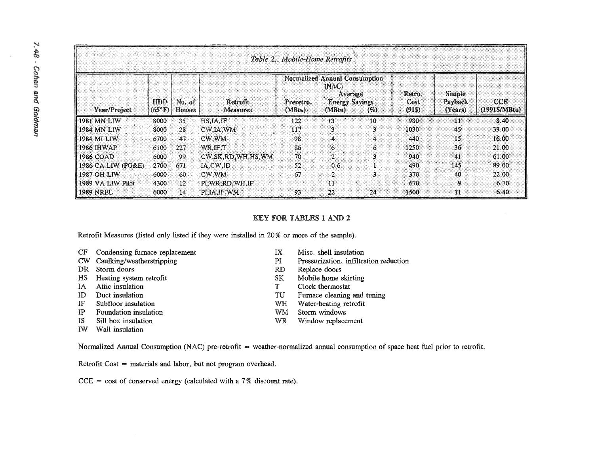| Table 2. Mobile-Home Retrofits |                       |                  |                             |                                                                                                                     |                |    |                         |                              |                                     |  |
|--------------------------------|-----------------------|------------------|-----------------------------|---------------------------------------------------------------------------------------------------------------------|----------------|----|-------------------------|------------------------------|-------------------------------------|--|
| <b>Year/Project</b>            | HDD<br>$(65^\circ F)$ | No. of<br>Houses | Retrofit<br><b>Measures</b> | Normalized Annual Consumption<br>(NAC)<br>Average<br><b>Energy Savings</b><br>Preretro.<br>(MBtu)<br>(MBtu)<br>( %) |                |    | Retro.<br>Cost<br>(915) | Simple<br>Payback<br>(Years) | <b>CCE</b><br>$(1991\frac{5}{100})$ |  |
| 1981 MN LIW                    | 8000                  | 35               | HSIA.IP                     | 122                                                                                                                 | 13             | 10 | 980                     | 11                           | 8.40                                |  |
| 1984 MN LIW                    | 8000                  | 28               | CW.IA.WM                    | 117                                                                                                                 | 3.             | 3  | 1030                    | 45                           | 33.00                               |  |
| 1984 MI LIW                    | 6700                  | 47.              | CW.WM                       | -98                                                                                                                 | 4              | 4  | 440                     | 15                           | 16.00                               |  |
| 1986 IHWAP                     | 6100                  | 227              | WR.IF.T                     | 86                                                                                                                  | 6.             | 6. | 1250                    | 36                           | 21.00                               |  |
| 1986 COAD                      | 6000                  | -99.             | CW, SK, RD, WH, HS, WM      | 70                                                                                                                  | $\overline{2}$ | 3  | 940                     | 41                           | 61.00                               |  |
| 1986 CA LIW (PG&E)             | 2700                  | 671              | IA,CW,ID                    | 52                                                                                                                  | 0.6            |    | 490                     | 145                          | 89.00                               |  |
| 1987 OH LIW                    | 6000                  | 60.              | CW, WM                      | 67                                                                                                                  | $\overline{2}$ | 3  | 370                     | 40                           | 22.00                               |  |
| 1989 VA LIW Pilot              | 4300                  | 12               | PI, WR, RD, WH, IF          |                                                                                                                     | 11             |    | 670                     | 9.                           | 6.70                                |  |
| <b>1989 NREL</b>               | 6000                  | 14               | PI, IA, IF, WM              | 93                                                                                                                  | 22             | 24 | 1500                    | 11                           | 6.40                                |  |

#### KEY FOR TABLES 1 AND 2

Retrofit Measures (listed only listed if they were installed in 20% or more of the sample).

|  | CF Condensing furnace replacement |  |  |  |
|--|-----------------------------------|--|--|--|
|--|-----------------------------------|--|--|--|

- CW Caulking/weatherstripping
- DR Storm doors
- HS Heating system retrofit
- IA Attic insulation
- ID Duct insulation
- IF Subfloor insulation
- IP Foundation insulation
- IS Sill box insulation
- IW Wall insulation
- IX Misc. shell insulation
- PI Pressurization, infiltration reduction
- RD Replace doors
- SK Mobile home skirting
- T Clock thermostat
- TU Furnace cleaning and tuning
- WH Water-heating retrofit
- WM Storm windows
- WR Window replacement

Normalized Annual Consumption (NAC) pre-retrofit = weather-normalized annual consumption of space heat fuel prior to retrofit.

Retrofit Cost  $=$  materials and labor, but not program overhead.

 $CCE = \text{cost of conserved energy (calculated with a 7% discount rate).}$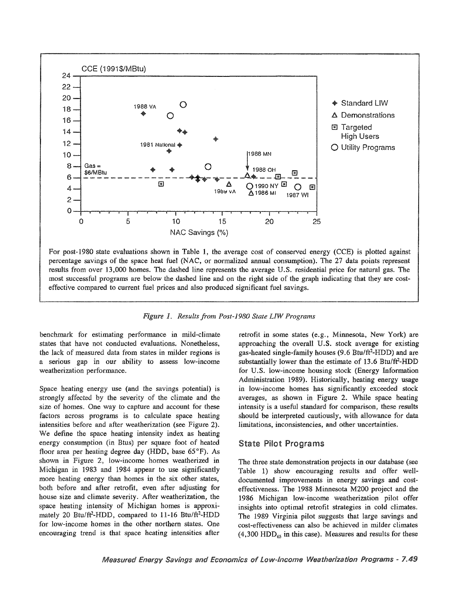

Figure 1. Results from Post-1980 State LIW Programs

benchmark for estimating performance in mild-climate states that have not conducted evaluations. Nonetheless, the lack of measured data from states in milder regions is a serious gap in our ability to assess low-income weatherization performance.

Space heating energy use (and the savings potential) is strongly affected by the severity of the climate and the size of homes. One way to capture and account for these factors across programs is to calculate space heating intensities before and after weatherization (see Figure 2). We define the space heating intensity index as heating energy consumption (in Btus) per square foot of heated floor area per heating degree day (HDD, base 65°F). As shown in Figure 2, low-income homes weatherized in Michigan in 1983 and 1984 appear to use significantly more heating energy than homes in the six other states, both before and after retrofit, even after adjusting for house size and climate severity. After weatherization, the space heating intensity of Michigan homes is approximately 20 Btu/ft<sup>2</sup>-HDD, compared to 11-16 Btu/ft<sup>2</sup>-HDD for low-income homes in the other northern states. One encouraging trend is that space heating intensities after

retrofit in some states (e.g., Minnesota, New York) are approaching the overall U.S. stock average for existing gas-heated single-family houses (9.6 Btu/ft<sup>2</sup>-HDD) and are substantially lower than the estimate of 13.6 Btu/ft<sup>2</sup>-HDD for U.S. low-income housing stock (Energy Information Administration 1989). Historically, heating energy usage in low-income homes has significantly exceeded stock averages, as shown in Figure 2. While space heating intensity is a useful standard for comparison, these results should be interpreted cautiously, with allowance for data limitations, inconsistencies, and other uncertainties.

#### **State Pilot Programs**

The three state demonstration projects in our database (see Table 1) show encouraging results and offer welldocumented improvements in energy savings and costeffectiveness. The 1988 Minnesota M200 project and the 1986 Michigan low-income weatherization pilot offer insights into optimal retrofit strategies in cold climates. The 1989 Virginia pilot suggests that large savings and cost-effectiveness can also be achieved in milder climates  $(4,300 \text{ HDD}_{65})$  in this case). Measures and results for these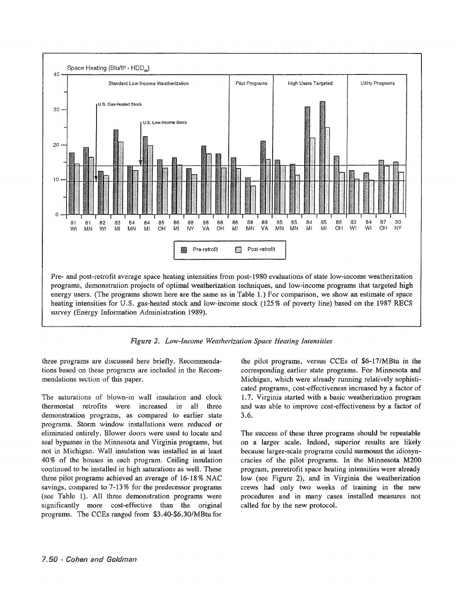

2@ *Low-Income Weatherization Space Heating Intensities*

three programs are discussed here briefly. Recommendations based on these programs are included in the Recommendations section of this paper.

The saturations of blown-in wall insulation and clock thermostat retrofits were increased in all three demonstration programs, as compared to earlier state programs. Storm window installations were reduced or eliminated entirely. Blower doors were used to locate and seal bypasses in the Minnesota and Virginia programs, but not in Michigan. Wall insulation was installed in at least 40% of the houses in each program. Ceiling insulation continued to be installed in high saturations as well. These three pilot programs achieved an average of 16-18% NAC savings, compared to  $7-13\%$  for the predecessor programs Table 1). AU three demonstration programs were significantly more cost-effective than the original programs. The CCEs ranged from \$3.40-\$6.30/MBtu for

the pilot programs, versus CCEs of \$6-17/MBtu in the corresponding earlier state programs. For Minnesota and Michigan, which were already running relatively sophisticated programs, cost-effectiveness increased by a factor of 1.7. Virginia started with a basic weatherization program and was able to improve cost-effectiveness by a factor of 3.6.

The success of these three programs should be repeatable on a larger scale. Indeed, superior results are likely because larger-scale programs could surmount the idiosyncracies of the pilot programs. In the Minnesota M200 program, preretrofit space heating intensities were already low (see Figure 2), and in Virginia the weatherization crews had only two weeks of training in the new procedures and in many cases installed measures not called for by the new protocol.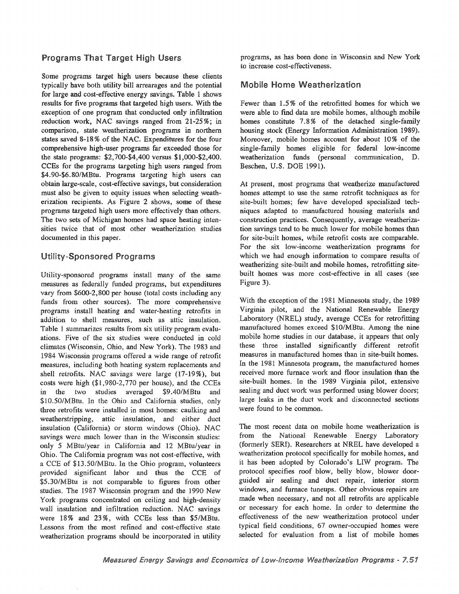Some programs target high users because these clients typically have both utility bill arrearages and the potential for large and cost-effective energy savings. Table 1 shows results for five programs that targeted high users. With the exception of one program that conducted only infiltration reduction work, NAC savings ranged from 21-25%; in comparison, state weatherization programs in northern states saved 8-18 % of the NAC. Expenditures for the four comprehensive high-user programs far exceeded those for the state programs: \$2,700-\$4,400 versus \$1,000-\$2,400. CCEs for the programs targeting high users ranged from \$4.90-\$6.80/MBtu. Programs targeting high users can obtain large-scale, cost-effective savings, but consideration must also be given to equity issues when selecting weatherization recipients. As Figure 2 shows, some of these programs targeted high users more effectively than others. The two sets of Michigan homes had space heating intensities twice that of most other weatherization studies documented in this paper.

### **Utility-Sponsored Programs**

Utility-sponsored programs install many of the same measures as federally funded programs, but expenditures vary from \$600-2,800 per house (total costs including any funds from other sources). The more comprehensive programs install heating and water-heating retrofits in addition to shell measures, such as attic insulation. Table 1 summarizes results from six utility program evaluations. Five of the six studies were conducted in cold climates (Wisconsin, Ohio, and New York). The 1983 and 1984 Wisconsin programs offered a wide range of retrofit measures, including both heating system replacements and shell retrofits. NAC savings were large (17-19%), but costs were high  $($1,980-2,770$  per house), and the CCEs in the two studies averaged \$9.40/MBtu and \$10.50/MBtu. In the Ohio and California studies, only three retrofits were installed in most homes: caulking and weatherstripping, attic insulation, and either duct insulation (California) or storm windows (Ohio). NAC savings were much lower than in the Wisconsin studies: only 5 MBtu/year in California and 12 MBtu/year in Ohio. The California program was not cost-effective, with a CCE of \$13.50/MBtu. In the Ohio program, volunteers provided significant labor and thus the CCE of \$5.30/MBtu is not comparable to figures from other studies. The 1987 Wisconsin program and the 1990 New York programs concentrated on ceiling and high-density wall insulation and infiltration reduction. NAC savings were 18% and 23%, with CCEs less than \$5/MBtu. Lessons from the most refined and cost-effective state weatherization programs should be incorporated in utility

Programs That Target High Users programs, as has been done in Wisconsin and New York to increase cost-effectiveness.

#### **Mobile Home Weatherization**

Fewer than 1.5% of the retrofitted homes for which we were able to find data are mobile homes, although mobile homes constitute 7.8% of the detached single-family housing stock (Energy Information Administration 1989).. Moreover, mobile homes account for about 10% of the single-family homes eligible for federal low-income weatherization funds (personal communication, D. Beschen, U.S. DOE 1991).

At present, most programs that weatherize manufactured homes attempt to use the same retrofit techniques as for site-built homes; few have developed specialized techniques adapted to manufactured housing materials and construction practices. Consequently, average weatherization savings tend to be much lower for mobile homes than for site-built homes, while retrofit costs are comparable. For the six low-income weatherization programs for which we had enough information to compare results of weatherizing site-built and mobile homes, retrofitting sitebuilt homes was more cost-effective in all cases (see Figure 3).

With the exception of the 1981 Minnesota study, the 1989 Virginia pilot, and the National Renewable Energy Laboratory (NREL) study, average CCEs for retrofitting manufactured homes exceed \$10/MBtu. Among the nine mobile home studies in our database, it appears that only these three installed significantly different retrofit measures in manufactured homes than in site-built homes. In the 1981 Minnesota program, the manufactured homes received more furnace work and floor insulation than the site-built homes. In the 1989 Virginia pilot, extensive sealing and duct work was performed using blower doors; large leaks in the duct work and disconnected sections were found to be common.

The most recent data on mobile home weatherization is from the National Renewable Energy Laboratory (formerly SERI). Researchers at NREL have developed a weatherization protocol specifically for mobile homes, and it has been adopted by Colorado's LIW program. The protocol specifies roof blow, blower doorguided air sealing and duct repair, interior storm windows, and furnace tuneups. Other obvious repairs are made when necessary, and not all retrofits are applicable or necessary for each home. In order to determine the effectiveness of the new weatherization protocol under typical field conditions, 67 owner-occupied homes were selected for evaluation from a list of mobile homes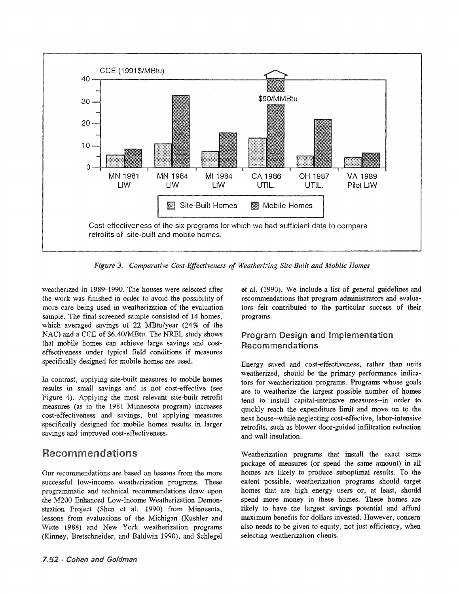

3& *Comparative Cost-Effectiveness of Weatherizing Site-Built and Mobile Homes*

weatherized in 1989-1990. The houses were selected after the work was finished in order to avoid the possibility of more care being used in weatherization of the evaluation sample. The final screened sample consisted of 14 homes, which averaged savings of 22 MBtu/year (24% of the NAC) and a CCE of \$6.40/MBtu. The NREL study shows that mobile homes can achieve large savings and costeffectiveness under field conditions if measures specifically designed for mobile homes are used.

In contrast, applying site-built measures to mobile homes results in small savings and is not cost-effective (see Figure 4). Applying the most relevant site-built retrofit measures (as in the 1981 Minnesota program) increases cost-effectiveness and savings, but applying measures specifically designed for mobile homes results in larger savings and improved cost-effectiveness.

# **Recommendations**

Our recommendations are based on lessons from the more successful low-income weatherization programs. These programmatic and technical recommendations draw upon the M200 Enhanced Low-Income Weatherization Demonstration Project (Shen et al. 1990) from Minnesota, lessons from evaluations of the Michigan (Kushler and Witte 1988) and New York weatherization programs (Kinney, Bretschneider, and Baldwin 1990), and Schlegel et al. (1990). We include a list of general guidelines and recommendations that program administrators and evaluators felt contributed to the particular success of their programs.

## Program Design and Implementation **Recommendations**

Energy saved and cost-effectiveness, rather than units weatherized, should be the primary performance indicators for weatherization programs. Programs whose goals are to weatherize the largest possible number of homes tend to install capital-intensive measures--in order to quickly reach the expenditure limit and move on to the next house--while neglecting cost-effective, labor-intensive retrofits, such as blower door-guided infiltration reduction and wall insulation.

Weatherization programs that install the exact same package of measures (or spend the same amount) in all homes are likely to produce suboptimal results.. To the extent possible, weatherization programs should target homes that are high energy users or, at least, should spend more money in these homes. These homes are likely to have the largest savings potential and afford maximum benefits for dollars invested. However, concern also needs to be given to equity, not just efficiency, when selecting weatherization clients.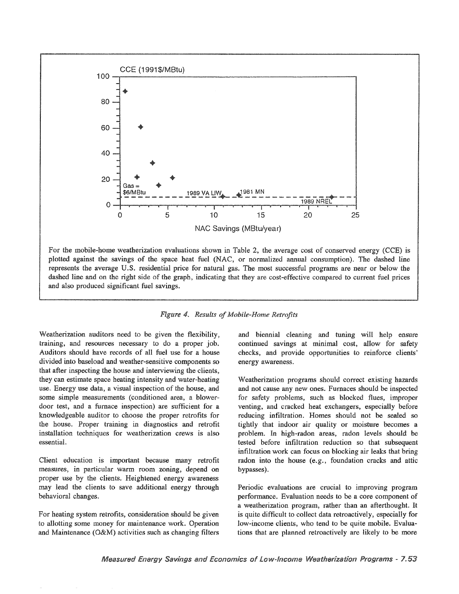

For the mobile-home weatherization evaluations shown in Table 2, the average cost of conserved energy (CCE) is plotted against the savings of the space heat fuel (NAC, or normalized annual consumption). The dashed line represents the average U.S. residential price for natural gas. The most successful programs are near or below the dashed line and on the right side of the graph, indicating that they are cost-effective compared to current fuel prices and also produced significant fuel savings.

#### Figure 4. Results of Mobile-Home Retrofits

Weatherization auditors need to be given the flexibility, training, and resources necessary to do a proper job. Auditors should have records of all fuel use for a house divided into baseload and weather-sensitive components so that after inspecting the house and interviewing the clients. they can estimate space heating intensity and water-heating use. Energy use data, a visual inspection of the house, and some simple measurements (conditioned area, a blowerdoor test, and a furnace inspection) are sufficient for a knowledgeable auditor to choose the proper retrofits for the house. Proper training in diagnostics and retrofit installation techniques for weatherization crews is also essential.

Client education is important because many retrofit measures, in particular warm room zoning, depend on proper use by the clients. Heightened energy awareness may lead the clients to save additional energy through behavioral changes.

For heating system retrofits, consideration should be given to allotting some money for maintenance work. Operation and Maintenance (O&M) activities such as changing filters and biennial cleaning and tuning will help ensure continued savings at minimal cost, allow for safety checks, and provide opportunities to reinforce clients' energy awareness.

Weatherization programs should correct existing hazards and not cause any new ones. Furnaces should be inspected for safety problems, such as blocked flues, improper venting, and cracked heat exchangers, especially before reducing infiltration. Homes should not be sealed so tightly that indoor air quality or moisture becomes a problem. In high-radon areas, radon levels should be tested before infiltration reduction so that subsequent infiltration work can focus on blocking air leaks that bring radon into the house (e.g., foundation cracks and attic bypasses).

Periodic evaluations are crucial to improving program performance. Evaluation needs to be a core component of a weatherization program, rather than an afterthought. It is quite difficult to collect data retroactively, especially for low-income clients, who tend to be quite mobile. Evaluations that are planned retroactively are likely to be more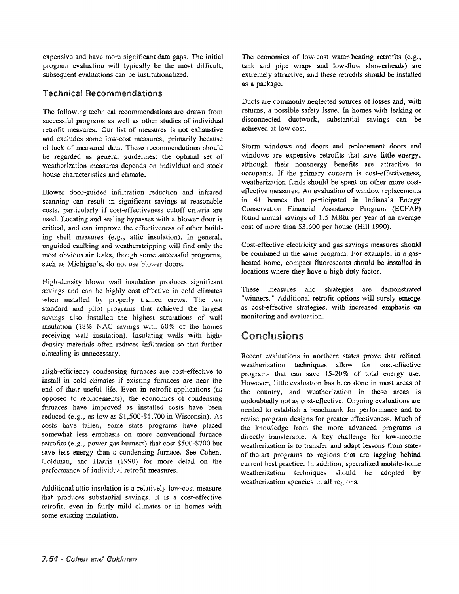expensive and have more significant data gaps. The initial program evaluation will typically be the most difficult; subsequent evaluations can be institutionalized.

#### **Technical Recommendations**

The following technical recommendations are drawn from successful programs as well as other studies of individual retrofit measures. Our list of measures is not exhaustive and excludes some low-cost measures, primarily because of lack of measured data. These recommendations should be regarded as general guidelines: the optimal set of weatherization measures depends on individual and stock house characteristics and climate.

Blower door-guided infiltration reduction and infrared scanning can result in significant savings at reasonable costs, particularly if cost-effectiveness cutoff criteria are used. Locating and sealing bypasses with a blower door is critical, and can improve the effectiveness of other building shell measures (e.g., attic insulation). In general, unguided caulking and weatherstripping will find only the most obvious air leaks, though some successful programs, such as Michigan's, do not use blower doors.

High-density blown wall insulation produces significant savings and can be highly cost-effective in cold climates when installed by properly trained crews. The two standard and pilot programs that achieved the largest savings also installed the highest saturations of wall insulation (18% NAC savings with 60% of the homes receiving wall insulation). Insulating walls with highdensity materials often reduces infiltration so that further airsealing is unnecessary.

High-efficiency condensing furnaces are cost-effective to install in cold climates if existing furnaces are near the end of their useful life. Even in retrofit applications (as opposed to replacements), the economics of condensing furnaces have improved as installed costs have been reduced (e.g., as low as  $$1,500-\$1,700$  in Wisconsin). As costs have fallen, some state programs have placed somewhat less emphasis on more conventional furnace retrofits (e.g., power gas burners) that cost  $$500-$700$  but save less energy than a condensing furnace. See Cohen, Goldman, and Harris (1990) for more detail on the performance of individual retrofit measures.

Additional attic insulation is a relatively low-cost measure that produces substantial savings. It is a cost-effective retrofit, even in fairly mild climates or in homes with some existing insulation.

The economics of low-cost water-heating retrofits (e.g., tank and pipe wraps and low-flow showerheads) are extremely attractive, and these retrofits should be installed as a package.

Ducts are commonly neglected sources of losses and, with returns, a possible safety issue. In homes with leaking or disconnected ductwork, substantial savings can be achieved at low cost.

Storm windows and doors and replacement doors and windows are expensive retrofits that save little energy, although their nonenergy benefits are attractive to occupants.. If the primary concern is cost-effectiveness, weatherization funds should be spent on other more costeffective measures. An evaluation of window replacements in 41 homes that participated in Indiana's Energy Conservation Financial Assistance Program (ECFAP) found annual savings of  $1.5$  MBtu per year at an average cost of more than \$3,600 per house (Hill 1990).

Cost-effective electricity and gas savings measures should be combined in the same program.. For example, in a gasheated home, compact fluorescents should be installed in locations where they have a high duty factor.

These measures and strategies are demonstrated "winners." Additional retrofit options will surely emerge as cost-effective strategies, with increased emphasis on monitoring and evaluation.

# Conclusions

Recent evaluations in northern states prove that refmed weatherization techniques allow for cost-effective programs that can save 15-20% of total energy use.. However, little evaluation has been done in most areas of the country, and weatherization in these areas is undoubtedly not as cost-effective. Ongoing evaluations are needed to establish a benchmark for performance and to revise program designs for greater effectiveness. Much of the knowledge from the more advanced programs is directly transferable. A key challenge for low-income weatherization is to transfer and adapt lessons from stateof-the-art programs to regions that are lagging behind current best practice. In addition, specialized mobile-home weatherization techniques should be adopted by weatherization agencies in all regions.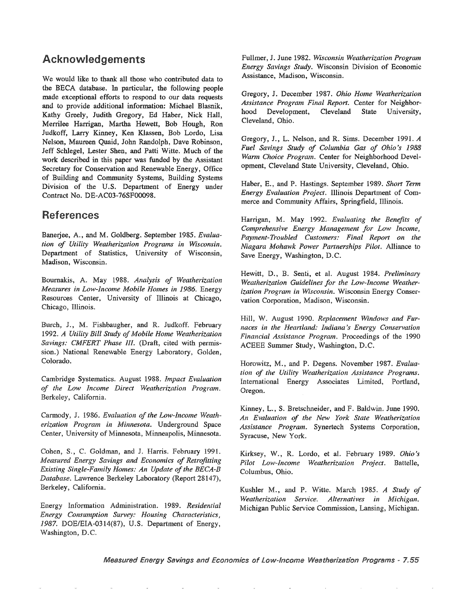## Acknowledgements

We would like to thank all those who contributed data to the BECA database.. In particular, the following people made exceptional efforts to respond to our data requests and to provide additional information: Michael Blasnik, Kathy Greely, Judith Gregory, Ed Haber, Nick Hall, Merrilee Harrigan, Martha Hewett, Bob Hough, Ron Judkoff, Larry Kinney, Ken Klassen, Bob Lordo, Lisa Nelson, Maureen Quaid, John Randolph, Dave Robinson, Jeff Schlegel, Lester Shen, and Patti Witte. Much of the work described in this paper was funded by the Assistant Secretary for Conservation and Renewable Energy, Office of Building and Community Systems, Building Systems Division of the U.S. Department of Energy under Contract No.. DE-AC03-76SF00098..

## References

Banerjee, A., and M. Goldberg. September 1985. *Evaluation of Utility Weatherization Programs in Wisconsin ..* Department of Statistics, University of Wisconsin, Madison, Wisconsin..

Bournakis, A. May 1988. Analysis of Weatherization *Measures in Low-Income Mobile Homes in* 1986.. Energy Resources Center, University of Illinois at Chicago, Chicago, Illinois.

Burch, J., M. Fishbaugher, and R. Judkoff. February *1992. A Utility Bill Study ofMobile Home Weatherization Savings: CMFERT Phase* Ill. (Draft, cited with permission.) National Renewable Energy Laboratory, Golden, Colorado..

Cambridge Systematics. August 1988. Impact Evaluation *of the Low Income* Berkeley, California.

Carmody, J. 1986. *Evaluation of the Low-Income Weatherization Program in Minnesota*. Underground Space Center, University of Minnesota, Minneapolis, Minnesota.

Cohen, S., C. Goldman, and J. Harris. February 1991. *Measured Savings and Econornics of Retrofitting* **Existing Single-Family Homes: An Update of the BECA-B** Database. Lawrence Berkeley Laboratory (Report 28147), Berkeley, California.

Information Administration.. 1989. *Residential Energy Consurnption Survey: Housing Characteristics,* 1987. DOE/EIA-0314(87), U.S. Department of Energy, Washington, D.C.

Fullmer, J.. June 1982~ *Wisconsin Weatherization Program Energy Savings Study..* Wisconsin Division of Economic Assistance, Madison, Wisconsin.

Gregory, J.. December 1987.. *Ohio Home Weatherization Assistance Program Final Report..* Center for Neighborhood Development, Cleveland State University, Cleveland, Ohio.

Gregory, J., L. Nelson, and R. Sims. December 1991. *A Fuel Savings Study of Columbia Gas of Ohio* '8 1988 *Wann Choice Program..* Center for Neighborhood Development, Cleveland State University, Cleveland, Ohio.

Haber, E.. , and P.. Hastings~ September 1989.. *Short Term Energy Evaluation Project. Illinois Department of Com*merce and Community Affairs, Springfield, Illinois.

Harrigan, M. May 1992.. *Evaluating the Benefits of Comprehensive Energy Management for Low Income, Payment-Troubled* Customers~" *Final Report on the Niagara Mohawk Power Partnerships* Pilot~ Alliance to Save Energy, Washington, D.C.

Hewitt, D., B. Senti, et al. August 1984. Preliminary *Weatherization Guidelines for the Low-Income Weatherization Program in Wisconsin.* Wisconsin Energy Conservation Corporation, Madison, Wisconsin.

Hill, W.. 1990. *Replacement Windows and Furnaces in the Heartland." Indiana's Energy Conservation Financial Assistance Program.* Proceedings of the 1990 ACEEE Summer Study, Washington, D.C.

Horowitz, M., and P. Degens. November 1987. *Evaluation of the Utility Weatherization Assistance* Programs~ International Energy Associates Limited, Portland, Oregon.

Kinney, L., S. Bretschneider, and F. Baldwin. June 1990. *An Evaluation of the New York State Weatherization* Assistance Program. Synertech Systems Corporation, Syracuse, New York..

Kirksey, W., R.. Lordo, et aL 1989. *Ohio's Pilot Low-Income Weatherization Project..* Columbus, Ohio.

Kushler M., and P. Witte. March 1985. A Study of *Weatherization Service. Alternatives in Michigan.* Michigan Public Service Commission, Lansing, Michigan.

Measured Energy Savings and Economics of Low-Income Weatherization Programs - 7.55